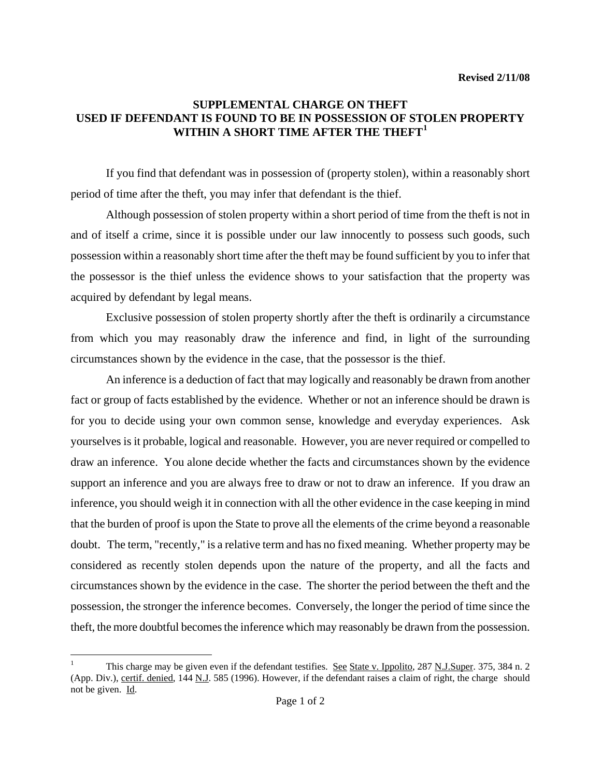## **SUPPLEMENTAL CHARGE ON THEFT USED IF DEFENDANT IS FOUND TO BE IN POSSESSION OF STOLEN PROPERTY WITHIN A SHORT TIME AFTER THE THEFT[1](#page-0-0)**

If you find that defendant was in possession of (property stolen), within a reasonably short period of time after the theft, you may infer that defendant is the thief.

Although possession of stolen property within a short period of time from the theft is not in and of itself a crime, since it is possible under our law innocently to possess such goods, such possession within a reasonably short time after the theft may be found sufficient by you to infer that the possessor is the thief unless the evidence shows to your satisfaction that the property was acquired by defendant by legal means.

Exclusive possession of stolen property shortly after the theft is ordinarily a circumstance from which you may reasonably draw the inference and find, in light of the surrounding circumstances shown by the evidence in the case, that the possessor is the thief.

An inference is a deduction of fact that may logically and reasonably be drawn from another fact or group of facts established by the evidence. Whether or not an inference should be drawn is for you to decide using your own common sense, knowledge and everyday experiences. Ask yourselves is it probable, logical and reasonable. However, you are never required or compelled to draw an inference. You alone decide whether the facts and circumstances shown by the evidence support an inference and you are always free to draw or not to draw an inference. If you draw an inference, you should weigh it in connection with all the other evidence in the case keeping in mind that the burden of proof is upon the State to prove all the elements of the crime beyond a reasonable doubt. The term, "recently," is a relative term and has no fixed meaning. Whether property may be considered as recently stolen depends upon the nature of the property, and all the facts and circumstances shown by the evidence in the case. The shorter the period between the theft and the possession, the stronger the inference becomes. Conversely, the longer the period of time since the theft, the more doubtful becomes the inference which may reasonably be drawn from the possession.

<span id="page-0-0"></span>i<br>Li 1 This charge may be given even if the defendant testifies. See State v. Ippolito, 287 N.J.Super. 375, 384 n. 2 (App. Div.), certif. denied, 144 N.J. 585 (1996). However, if the defendant raises a claim of right, the charge should not be given. Id.